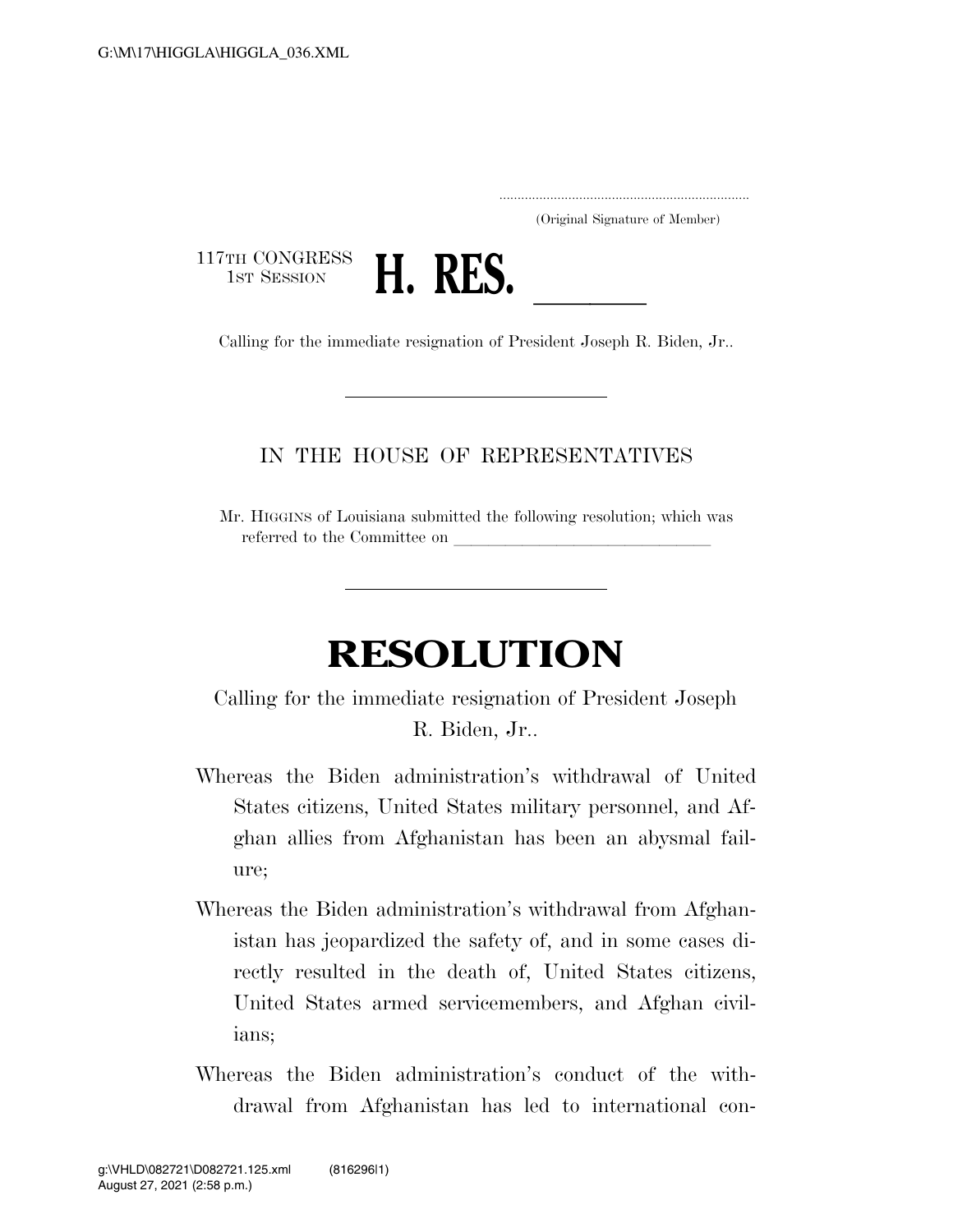..................................................................... (Original Signature of Member)

117TH CONGRESS<br>1st Session



1st SESSION **H. KES.** <u>Calling for the immediate resignation of President Joseph R. Biden, Jr..</u>

## IN THE HOUSE OF REPRESENTATIVES

Mr. HIGGINS of Louisiana submitted the following resolution; which was referred to the Committee on

## **RESOLUTION**

Calling for the immediate resignation of President Joseph R. Biden, Jr..

- Whereas the Biden administration's withdrawal of United States citizens, United States military personnel, and Afghan allies from Afghanistan has been an abysmal failure;
- Whereas the Biden administration's withdrawal from Afghanistan has jeopardized the safety of, and in some cases directly resulted in the death of, United States citizens, United States armed servicemembers, and Afghan civilians;
- Whereas the Biden administration's conduct of the withdrawal from Afghanistan has led to international con-